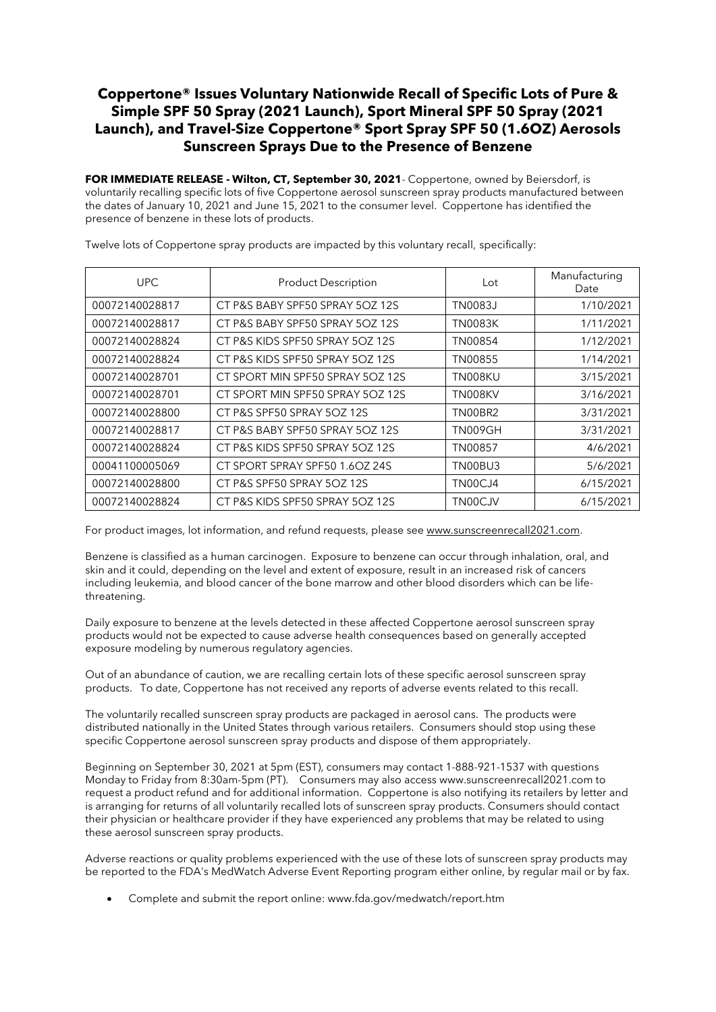## Coppertone® Issues Voluntary Nationwide Recall of Specific Lots of Pure & Simple SPF 50 Spray (2021 Launch), Sport Mineral SPF 50 Spray (2021 Launch), and Travel-Size Coppertone® Sport Spray SPF 50 (1.6OZ) Aerosols Sunscreen Sprays Due to the Presence of Benzene

FOR IMMEDIATE RELEASE - Wilton, CT, September 30, 2021- Coppertone, owned by Beiersdorf, is voluntarily recalling specific lots of five Coppertone aerosol sunscreen spray products manufactured between the dates of January 10, 2021 and June 15, 2021 to the consumer level. Coppertone has identified the presence of benzene in these lots of products.

| <b>UPC</b>     | <b>Product Description</b>       | Lot            | Manufacturing<br>Date |
|----------------|----------------------------------|----------------|-----------------------|
| 00072140028817 | CT P&S BABY SPF50 SPRAY 5OZ 12S  | TN0083J        | 1/10/2021             |
| 00072140028817 | CT P&S BABY SPF50 SPRAY 5OZ 12S  | <b>TN0083K</b> | 1/11/2021             |
| 00072140028824 | CT P&S KIDS SPF50 SPRAY 5OZ 12S  | TN00854        | 1/12/2021             |
| 00072140028824 | CT P&S KIDS SPF50 SPRAY 5OZ 12S  | TN00855        | 1/14/2021             |
| 00072140028701 | CT SPORT MIN SPF50 SPRAY 5OZ 12S | TN008KU        | 3/15/2021             |
| 00072140028701 | CT SPORT MIN SPF50 SPRAY 5OZ 12S | TN008KV        | 3/16/2021             |
| 00072140028800 | CT P&S SPF50 SPRAY 5OZ 12S       | TN00BR2        | 3/31/2021             |
| 00072140028817 | CT P&S BABY SPF50 SPRAY 5OZ 12S  | <b>TN009GH</b> | 3/31/2021             |
| 00072140028824 | CT P&S KIDS SPF50 SPRAY 5OZ 12S  | TN00857        | 4/6/2021              |
| 00041100005069 | CT SPORT SPRAY SPF50 1.6OZ 24S   | TN00BU3        | 5/6/2021              |
| 00072140028800 | CT P&S SPF50 SPRAY 5OZ 12S       | TN00CJ4        | 6/15/2021             |
| 00072140028824 | CT P&S KIDS SPF50 SPRAY 5OZ 12S  | TN00CJV        | 6/15/2021             |

Twelve lots of Coppertone spray products are impacted by this voluntary recall, specifically:

For product images, lot information, and refund requests, please se[e www.sunscreenrecall2021.com.](http://www.sunscreenrecall2021.com/)

Benzene is classified as a human carcinogen. Exposure to benzene can occur through inhalation, oral, and skin and it could, depending on the level and extent of exposure, result in an increased risk of cancers including leukemia, and blood cancer of the bone marrow and other blood disorders which can be lifethreatening.

Daily exposure to benzene at the levels detected in these affected Coppertone aerosol sunscreen spray products would not be expected to cause adverse health consequences based on generally accepted exposure modeling by numerous regulatory agencies.

Out of an abundance of caution, we are recalling certain lots of these specific aerosol sunscreen spray products. To date, Coppertone has not received any reports of adverse events related to this recall.

The voluntarily recalled sunscreen spray products are packaged in aerosol cans. The products were distributed nationally in the United States through various retailers. Consumers should stop using these specific Coppertone aerosol sunscreen spray products and dispose of them appropriately.

Beginning on September 30, 2021 at 5pm (EST), consumers may contact 1-888-921-1537 with questions Monday to Friday from 8:30am-5pm (PT). Consumers may also access www.sunscreenrecall2021.com to request a product refund and for additional information. Coppertone is also notifying its retailers by letter and is arranging for returns of all voluntarily recalled lots of sunscreen spray products. Consumers should contact their physician or healthcare provider if they have experienced any problems that may be related to using these aerosol sunscreen spray products.

Adverse reactions or quality problems experienced with the use of these lots of sunscreen spray products may be reported to the FDA's MedWatch Adverse Event Reporting program either online, by regular mail or by fax.

• Complete and submit the report online: www.fda.gov/medwatch/report.htm